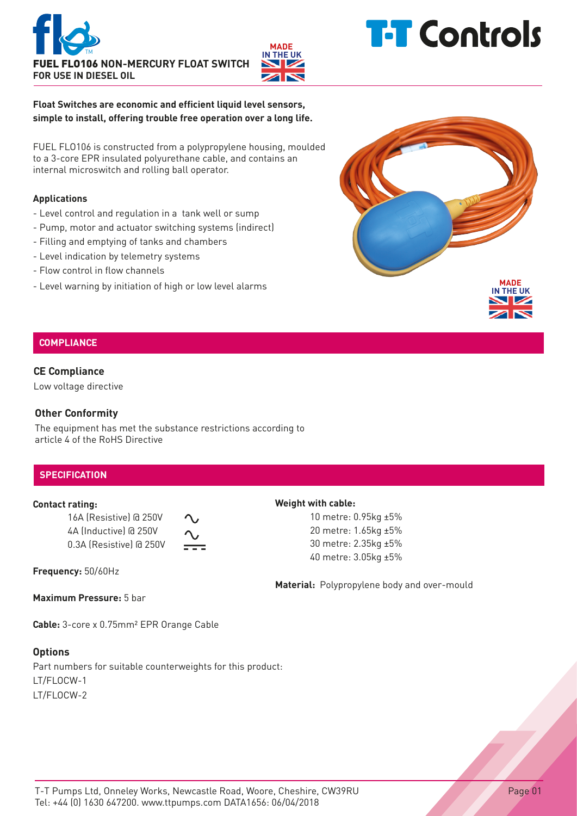



# **T-T** Controls

**Float Switches are economic and efficient liquid level sensors, simple to install, offering trouble free operation over a long life.**

FUEL FLO106 is constructed from a polypropylene housing, moulded to a 3-core EPR insulated polyurethane cable, and contains an internal microswitch and rolling ball operator.

### **Applications**

- Level control and regulation in a tank well or sump
- Pump, motor and actuator switching systems (indirect)
- Filling and emptying of tanks and chambers
- Level indication by telemetry systems
- Flow control in flow channels
- Level warning by initiation of high or low level alarms



# **COMPLIANCE**

### **CE Compliance**

Low voltage directive

## **Other Conformity**

The equipment has met the substance restrictions according to article 4 of the RoHS Directive

# **SPECIFICATION**

#### **Contact rating:**

16A (Resistive) @ 250V 4A (Inductive) @ 250V 0.3A (Resistive) @ 250V

**Frequency:** 50/60Hz

**Maximum Pressure:** 5 bar

**Cable:** 3-core x 0.75mm² EPR Orange Cable

# **Options**

Part numbers for suitable counterweights for this product: LT/FLOCW-1 LT/FLOCW-2

Page 01

### **Weight with cable:**

10 metre: 0.95kg ±5% 20 metre: 1.65kg ±5% 30 metre: 2.35kg ±5% 40 metre: 3.05kg ±5%

**Material:** Polypropylene body and over-mould